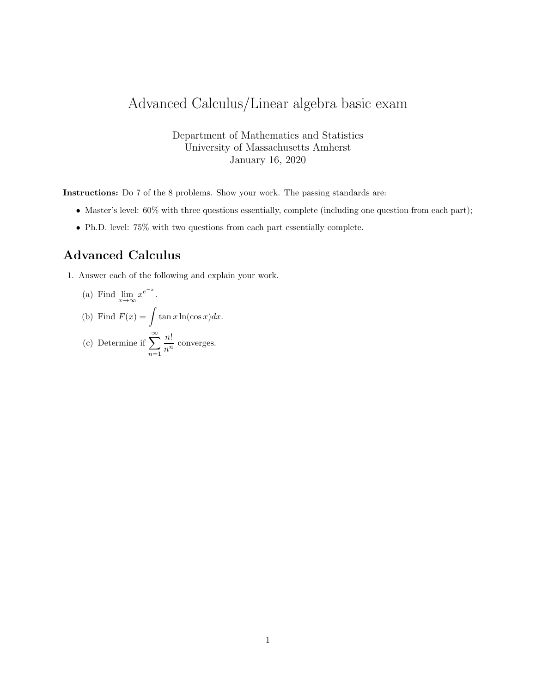## Advanced Calculus/Linear algebra basic exam

Department of Mathematics and Statistics University of Massachusetts Amherst January 16, 2020

Instructions: Do 7 of the 8 problems. Show your work. The passing standards are:

- Master's level:  $60\%$  with three questions essentially, complete (including one question from each part);
- Ph.D. level: 75% with two questions from each part essentially complete.

## Advanced Calculus

1. Answer each of the following and explain your work.

(a) Find 
$$
\lim_{x \to \infty} x^{e^{-x}}
$$
.

(b) Find 
$$
F(x) = \int \tan x \ln(\cos x) dx
$$
.

(c) Determine if 
$$
\sum_{n=1}^{\infty} \frac{n!}{n^n}
$$
 converges.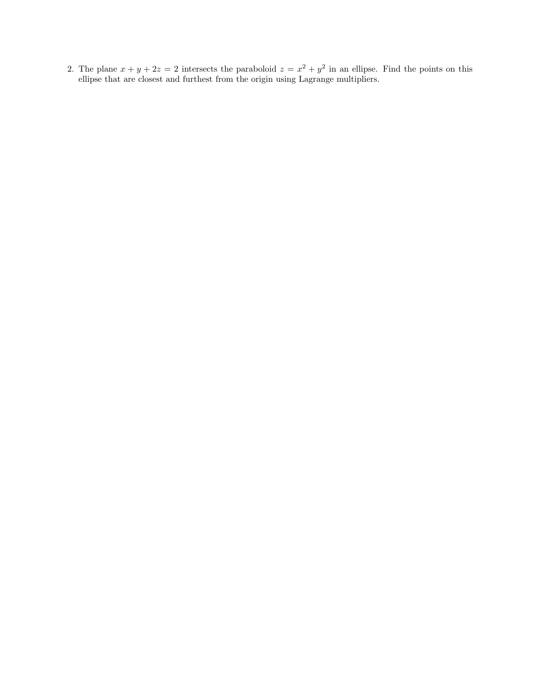2. The plane  $x + y + 2z = 2$  intersects the paraboloid  $z = x^2 + y^2$  in an ellipse. Find the points on this ellipse that are closest and furthest from the origin using Lagrange multipliers.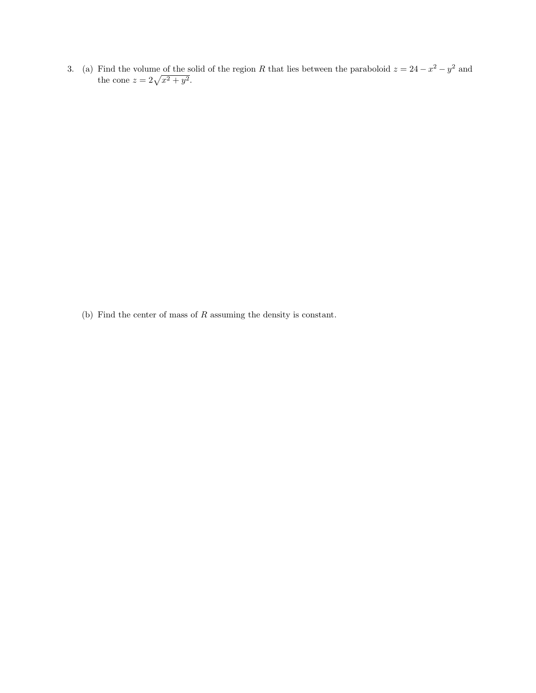3. (a) Find the volume of the solid of the region R that lies between the paraboloid  $z = 24 - x^2 - y^2$  and the cone  $z = 2\sqrt{x^2 + y^2}$ .

(b) Find the center of mass of R assuming the density is constant.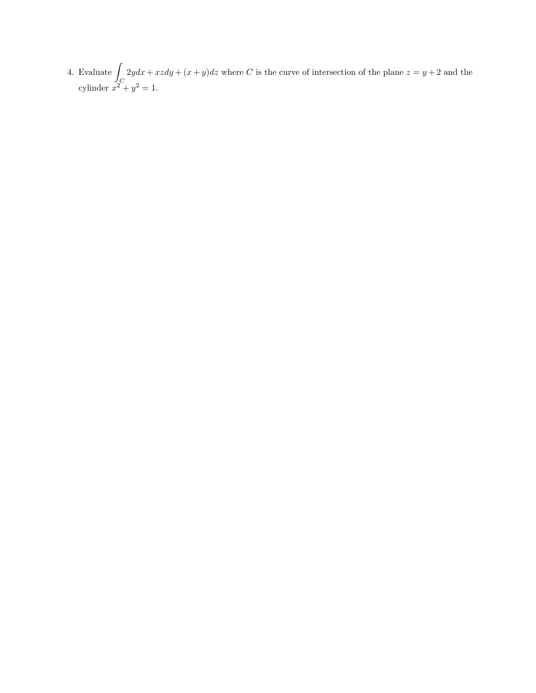4. Evaluate  $\int$ C  $2ydx + xzdy + (x + y)dz$  where C is the curve of intersection of the plane  $z = y + 2$  and the cylinder  $x^2 + y^2 = 1$ .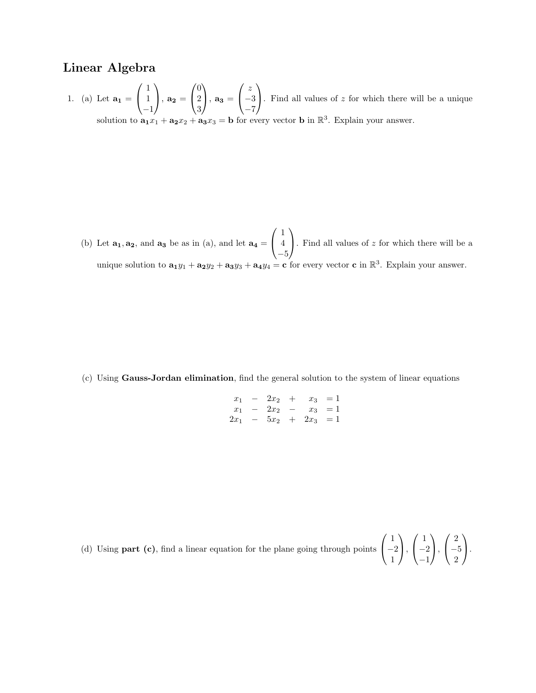## Linear Algebra

1. (a) Let  $a_1 =$  $\sqrt{ }$  $\mathcal{L}$ 1 1 −1  $\setminus$  $\Big\}, \mathbf{a_2} =$  $\sqrt{ }$  $\mathcal{L}$ 0 2 3  $\setminus$  $\Big\}, \mathbf{a_3} =$  $\sqrt{ }$  $\mathcal{L}$ z −3 −7  $\setminus$ . Find all values of  $z$  for which there will be a unique solution to  $\mathbf{a_1}x_1 + \mathbf{a_2}x_2 + \mathbf{a_3}x_3 = \mathbf{b}$  for every vector **b** in  $\mathbb{R}^3$ . Explain your answer.

(b) Let  $\mathbf{a_1}, \mathbf{a_2}$ , and  $\mathbf{a_3}$  be as in (a), and let  $\mathbf{a_4} =$  $\sqrt{ }$  $\mathcal{L}$ 1 4 −5  $\setminus$ . Find all values of  $z$  for which there will be a unique solution to  $\mathbf{a}_1 y_1 + \mathbf{a}_2 y_2 + \mathbf{a}_3 y_3 + \mathbf{a}_4 y_4 = \mathbf{c}$  for every vector  $\mathbf{c}$  in  $\mathbb{R}^3$ . Explain your answer.

(c) Using Gauss-Jordan elimination, find the general solution to the system of linear equations

| $x_1$  | $\overline{\phantom{0}}$    |          | $2x_2 + x_3 = 1$  |           |
|--------|-----------------------------|----------|-------------------|-----------|
| $x_1$  | $\overline{\phantom{0}}$    | $2x_2 -$ |                   | $x_3 = 1$ |
| $2x_1$ | $\alpha \rightarrow \alpha$ |          | $5x_2 + 2x_3 = 1$ |           |

(d) Using **part (c)**, find a linear equation for the plane going through points 
$$
\begin{pmatrix} 1 \\ -2 \\ 1 \end{pmatrix}
$$
,  $\begin{pmatrix} 1 \\ -2 \\ -1 \end{pmatrix}$ ,  $\begin{pmatrix} 2 \\ -5 \\ 2 \end{pmatrix}$ .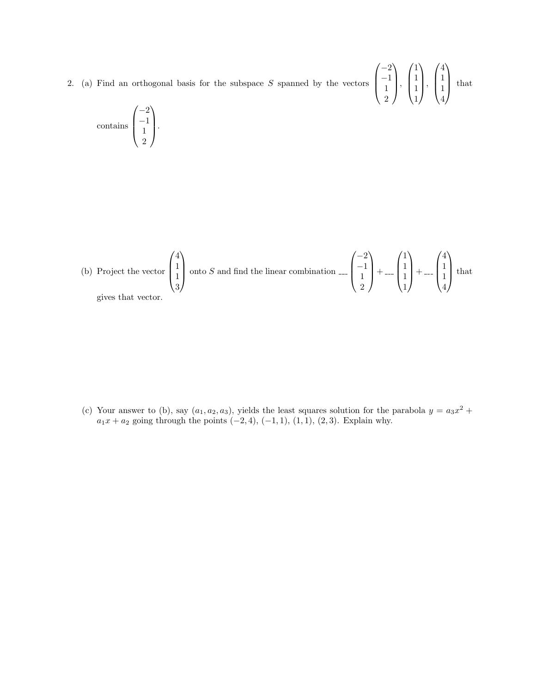2. (a) Find an orthogonal basis for the subspace  $S$  spanned by the vectors

$$
\begin{pmatrix} -2 \\ -1 \\ 1 \\ 2 \end{pmatrix}, \begin{pmatrix} 1 \\ 1 \\ 1 \\ 1 \end{pmatrix}, \begin{pmatrix} 4 \\ 1 \\ 1 \\ 4 \end{pmatrix} \text{ that}
$$

contains 
$$
\begin{pmatrix} -2 \\ -1 \\ 1 \\ 2 \end{pmatrix}.
$$

(b) Project the vector 
$$
\begin{pmatrix} 4 \\ 1 \\ 1 \\ 3 \end{pmatrix}
$$
 onto *S* and find the linear combination  $\begin{pmatrix} -2 \\ -1 \\ 1 \\ 2 \end{pmatrix} + \dots + \begin{pmatrix} 1 \\ 1 \\ 1 \\ 1 \end{pmatrix} + \dots + \begin{pmatrix} 4 \\ 1 \\ 1 \\ 4 \end{pmatrix}$  that gives that vector.

(c) Your answer to (b), say  $(a_1, a_2, a_3)$ , yields the least squares solution for the parabola  $y = a_3x^2 +$  $a_1x + a_2$  going through the points  $(-2, 4)$ ,  $(-1, 1)$ ,  $(1, 1)$ ,  $(2, 3)$ . Explain why.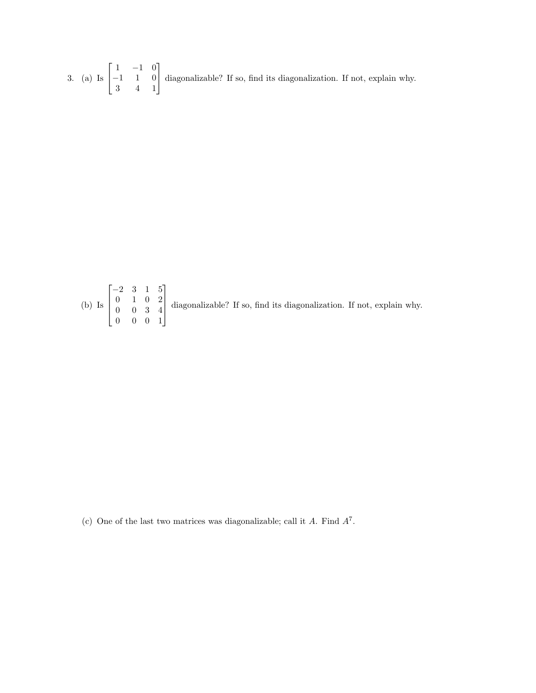3. (a) Is  $\lceil$  $\overline{\phantom{a}}$ 1 −1 0 −1 1 0 3 4 1 1 diagonalizable? If so, find its diagonalization. If not, explain why.

(b) Is 
$$
\begin{bmatrix} -2 & 3 & 1 & 5 \ 0 & 1 & 0 & 2 \ 0 & 0 & 3 & 4 \ 0 & 0 & 0 & 1 \end{bmatrix}
$$
 diagonalizable? If so, find its diagonalization. If not, explain why.

(c) One of the last two matrices was diagonalizable; call it  $A$ . Find  $A^7$ .